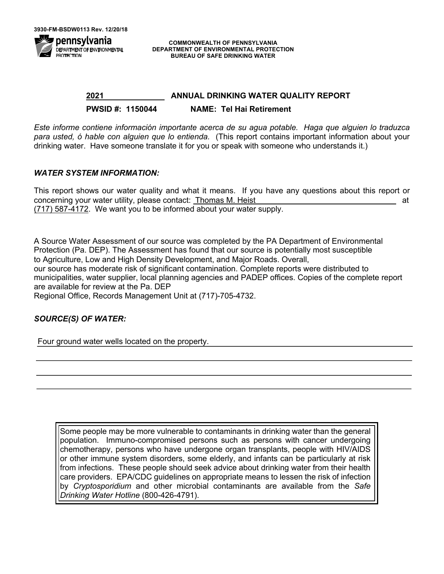

**COMMONWEALTH OF PENNSYLVANIA DEPARTMENT OF ENVIRONMENTAL PROTECTION BUREAU OF SAFE DRINKING WATER**

# **2021 ANNUAL DRINKING WATER QUALITY REPORT PWSID #: 1150044 NAME: Tel Hai Retirement**

*Este informe contiene información importante acerca de su agua potable. Haga que alguien lo traduzca para usted, ó hable con alguien que lo entienda.* (This report contains important information about your drinking water. Have someone translate it for you or speak with someone who understands it.)

#### *WATER SYSTEM INFORMATION:*

This report shows our water quality and what it means. If you have any questions about this report or concerning your water utility, please contact: Thomas M. Heist at (717) 587-4172.We want you to be informed about your water supply.

A Source Water Assessment of our source was completed by the PA Department of Environmental Protection (Pa. DEP). The Assessment has found that our source is potentially most susceptible to Agriculture, Low and High Density Development, and Major Roads. Overall, our source has moderate risk of significant contamination. Complete reports were distributed to municipalities, water supplier, local planning agencies and PADEP offices. Copies of the complete report

are available for review at the Pa. DEP

Regional Office, Records Management Unit at (717)-705-4732.

## *SOURCE(S) OF WATER:*

Four ground water wells located on the property.

Some people may be more vulnerable to contaminants in drinking water than the general population. Immuno-compromised persons such as persons with cancer undergoing chemotherapy, persons who have undergone organ transplants, people with HIV/AIDS or other immune system disorders, some elderly, and infants can be particularly at risk from infections. These people should seek advice about drinking water from their health care providers. EPA/CDC guidelines on appropriate means to lessen the risk of infection by *Cryptosporidium* and other microbial contaminants are available from the *Safe Drinking Water Hotline* (800-426-4791).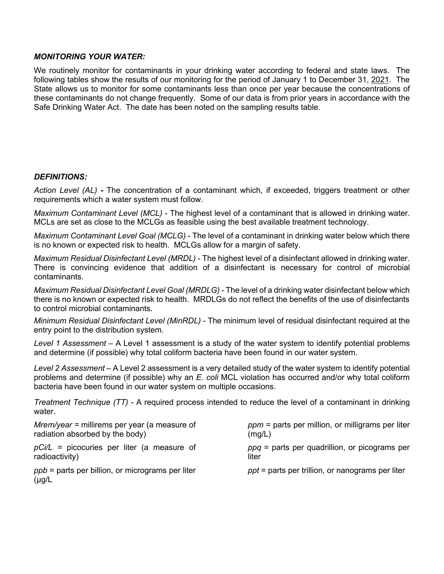#### *MONITORING YOUR WATER:*

We routinely monitor for contaminants in your drinking water according to federal and state laws. The following tables show the results of our monitoring for the period of January 1 to December 31, 2021. The State allows us to monitor for some contaminants less than once per year because the concentrations of these contaminants do not change frequently. Some of our data is from prior years in accordance with the Safe Drinking Water Act. The date has been noted on the sampling results table.

## *DEFINITIONS:*

*Action Level (AL)* **-** The concentration of a contaminant which, if exceeded, triggers treatment or other requirements which a water system must follow.

*Maximum Contaminant Level (MCL)* - The highest level of a contaminant that is allowed in drinking water. MCLs are set as close to the MCLGs as feasible using the best available treatment technology.

*Maximum Contaminant Level Goal (MCLG)* - The level of a contaminant in drinking water below which there is no known or expected risk to health. MCLGs allow for a margin of safety.

*Maximum Residual Disinfectant Level (MRDL)* - The highest level of a disinfectant allowed in drinking water. There is convincing evidence that addition of a disinfectant is necessary for control of microbial contaminants.

*Maximum Residual Disinfectant Level Goal (MRDLG)* - The level of a drinking water disinfectant below which there is no known or expected risk to health. MRDLGs do not reflect the benefits of the use of disinfectants to control microbial contaminants.

*Minimum Residual Disinfectant Level (MinRDL) -* The minimum level of residual disinfectant required at the entry point to the distribution system.

*Level 1 Assessment –* A Level 1 assessment is a study of the water system to identify potential problems and determine (if possible) why total coliform bacteria have been found in our water system.

*Level 2 Assessment –* A Level 2 assessment is a very detailed study of the water system to identify potential problems and determine (if possible) why an *E. coli* MCL violation has occurred and/or why total coliform bacteria have been found in our water system on multiple occasions.

*Treatment Technique (TT) -* A required process intended to reduce the level of a contaminant in drinking water.

| $Mrem/year = millirems per year (a measure of$                    | $ppm$ = parts per million, or milligrams per liter |
|-------------------------------------------------------------------|----------------------------------------------------|
| radiation absorbed by the body)                                   | (mg/L)                                             |
| $pCi/L$ = picocuries per liter (a measure of                      | $ppq$ = parts per quadrillion, or picograms per    |
| radioactivity)                                                    | liter                                              |
| $ppb$ = parts per billion, or micrograms per liter<br>$(\mu g/L)$ | $ppt$ = parts per trillion, or nanograms per liter |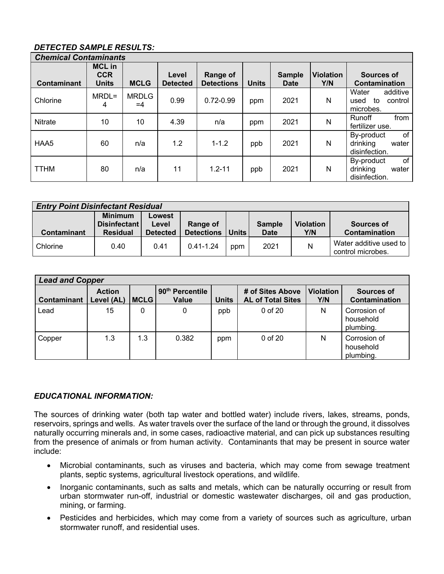# *DETECTED SAMPLE RESULTS:*

| <b>Chemical Contaminants</b> |                                             |                      |                          |                                      |              |                       |                         |                                                         |  |
|------------------------------|---------------------------------------------|----------------------|--------------------------|--------------------------------------|--------------|-----------------------|-------------------------|---------------------------------------------------------|--|
| <b>Contaminant</b>           | <b>MCL</b> in<br><b>CCR</b><br><b>Units</b> | <b>MCLG</b>          | Level<br><b>Detected</b> | <b>Range of</b><br><b>Detections</b> | <b>Units</b> | <b>Sample</b><br>Date | <b>Violation</b><br>Y/N | Sources of<br><b>Contamination</b>                      |  |
| Chlorine                     | MRDL=<br>4                                  | <b>MRDLG</b><br>$=4$ | 0.99                     | $0.72 - 0.99$                        | ppm          | 2021                  | N                       | Water<br>additive<br>control<br>to<br>used<br>microbes. |  |
| <b>Nitrate</b>               | 10                                          | 10                   | 4.39                     | n/a                                  | ppm          | 2021                  | N                       | from<br><b>Runoff</b><br>fertilizer use.                |  |
| HAA5                         | 60                                          | n/a                  | 1.2                      | $1 - 1.2$                            | ppb          | 2021                  | N                       | of<br>By-product<br>drinking<br>water<br>disinfection.  |  |
| <b>TTHM</b>                  | 80                                          | n/a                  | 11                       | $1.2 - 11$                           | ppb          | 2021                  | N                       | of<br>By-product<br>drinking<br>water<br>disinfection.  |  |

| <b>Entry Point Disinfectant Residual</b> |                                       |                 |                   |              |               |                  |                                             |  |
|------------------------------------------|---------------------------------------|-----------------|-------------------|--------------|---------------|------------------|---------------------------------------------|--|
|                                          | <b>Minimum</b><br><b>Disinfectant</b> | Lowest<br>Level | Range of          |              | <b>Sample</b> | <b>Violation</b> | Sources of                                  |  |
| Contaminant                              | <b>Residual</b>                       | <b>Detected</b> | <b>Detections</b> | <b>Units</b> | <b>Date</b>   | Y/N              | <b>Contamination</b>                        |  |
| Chlorine                                 | 0.40                                  | 0.41            | $0.41 - 1.24$     | ppm          | 2021          | N                | Water additive used to<br>control microbes. |  |

| <b>Lead and Copper</b> |                             |             |                                             |              |                                              |                         |                                        |  |  |
|------------------------|-----------------------------|-------------|---------------------------------------------|--------------|----------------------------------------------|-------------------------|----------------------------------------|--|--|
| <b>Contaminant</b>     | <b>Action</b><br>Level (AL) | <b>MCLG</b> | 90 <sup>th</sup> Percentile<br><b>Value</b> | <b>Units</b> | # of Sites Above<br><b>AL of Total Sites</b> | <b>Violation</b><br>Y/N | Sources of<br><b>Contamination</b>     |  |  |
| Lead                   | 15                          | 0           | 0                                           | ppb          | 0 of 20                                      | N                       | Corrosion of<br>household<br>plumbing. |  |  |
| Copper                 | 1.3                         | 1.3         | 0.382                                       | ppm          | 0 of 20                                      | Ν                       | Corrosion of<br>household<br>plumbing. |  |  |

## *EDUCATIONAL INFORMATION:*

The sources of drinking water (both tap water and bottled water) include rivers, lakes, streams, ponds, reservoirs, springs and wells. As water travels over the surface of the land or through the ground, it dissolves naturally occurring minerals and, in some cases, radioactive material, and can pick up substances resulting from the presence of animals or from human activity. Contaminants that may be present in source water include:

- Microbial contaminants, such as viruses and bacteria, which may come from sewage treatment plants, septic systems, agricultural livestock operations, and wildlife.
- Inorganic contaminants, such as salts and metals, which can be naturally occurring or result from urban stormwater run-off, industrial or domestic wastewater discharges, oil and gas production, mining, or farming.
- Pesticides and herbicides, which may come from a variety of sources such as agriculture, urban stormwater runoff, and residential uses.